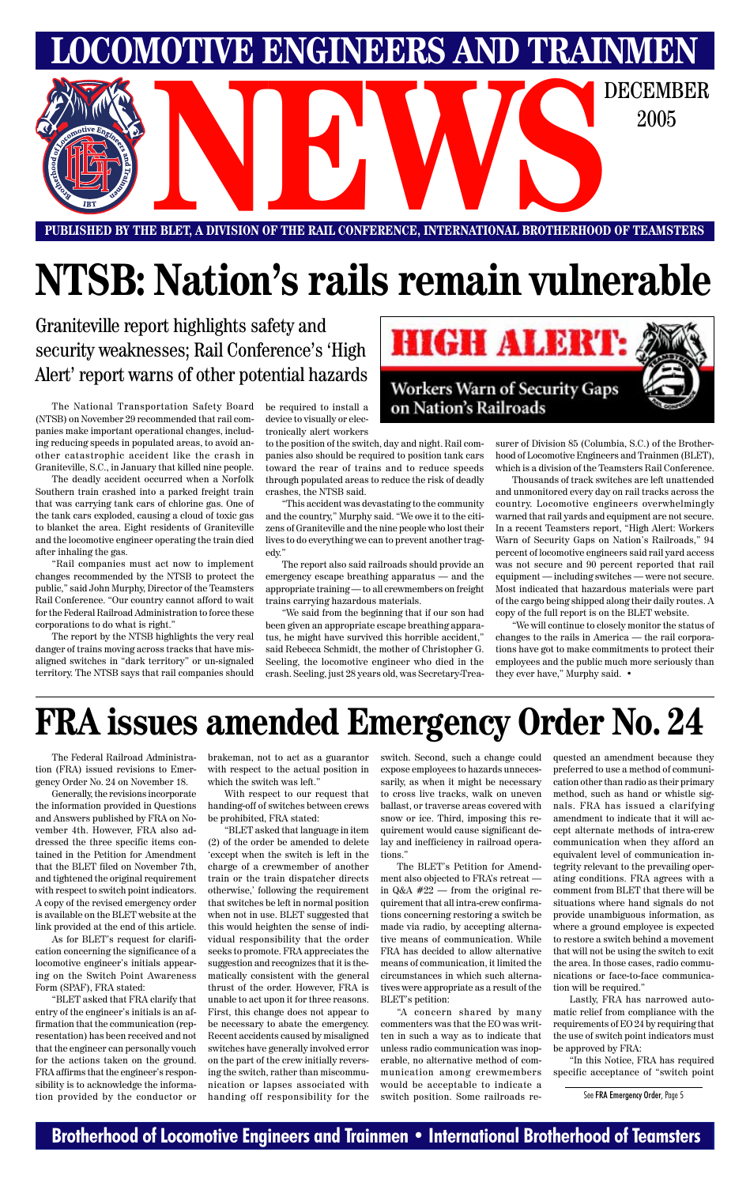### **Brotherhood of Locomotive Engineers and Trainmen • International Brotherhood of Teamsters**

**PUBLISHED BY THE BLET, A DIVISION OF THE RAIL CONFERENCE, INTERNATIONAL BROTHERHOOD OF TEAMSTERS** E BLET, A DIVISION OF THE RAIL CONFERENCE, INTERNATIONAL BROTHERHOOD OF TEAMSTERS

**LOMOTIVE ENGINEERS AND TRAINMEN** 

2005

# **NTSB: Nation's rails remain vulnerable**

Graniteville report highlights safety and security weaknesses; Rail Conference's 'High Alert' report warns of other potential hazards

The Federal Railroad Administration (FRA) issued revisions to Emergency Order No. 24 on November 18.

Generally, the revisions incorporate the information provided in Questions and Answers published by FRA on November 4th. However, FRA also addressed the three specific items contained in the Petition for Amendment that the BLET filed on November 7th, and tightened the original requirement with respect to switch point indicators. A copy of the revised emergency order is available on the BLET website at the link provided at the end of this article. As for BLET's request for clarification concerning the significance of a locomotive engineer's initials appearing on the Switch Point Awareness Form (SPAF), FRA stated: "BLET asked that FRA clarify that entry of the engineer's initials is an affirmation that the communication (representation) has been received and not that the engineer can personally vouch for the actions taken on the ground. FRA affirms that the engineer's responsibility is to acknowledge the information provided by the conductor or brakeman, not to act as a guarantor with respect to the actual position in which the switch was left."

With respect to our request that handing-off of switches between crews be prohibited, FRA stated:

"BLET asked that language in item (2) of the order be amended to delete 'except when the switch is left in the charge of a crewmember of another

train or the train dispatcher directs otherwise,' following the requirement that switches be left in normal position when not in use. BLET suggested that this would heighten the sense of individual responsibility that the order seeks to promote. FRA appreciates the suggestion and recognizes that it is thematically consistent with the general thrust of the order. However, FRA is unable to act upon it for three reasons. First, this change does not appear to be necessary to abate the emergency. Recent accidents caused by misaligned switches have generally involved error on the part of the crew initially reversing the switch, rather than miscommunication or lapses associated with handing off responsibility for the switch. Second, such a change could expose employees to hazards unnecessarily, as when it might be necessary to cross live tracks, walk on uneven ballast, or traverse areas covered with snow or ice. Third, imposing this requirement would cause significant delay and inefficiency in railroad operations."

The BLET's Petition for Amend-

ment also objected to FRA's retreat in Q&A #22 — from the original requirement that all intra-crew confirmations concerning restoring a switch be made via radio, by accepting alternative means of communication. While FRA has decided to allow alternative means of communication, it limited the circumstances in which such alternatives were appropriate as a result of the BLET's petition:

"A concern shared by many commenters was that the EO was written in such a way as to indicate that unless radio communication was inoperable, no alternative method of communication among crewmembers would be acceptable to indicate a switch position. Some railroads re-

The National Transportation Safety Board (NTSB) on November 29 recommended that rail companies make important operational changes, including reducing speeds in populated areas, to avoid another catastrophic accident like the crash in Graniteville, S.C., in January that killed nine people.

The deadly accident occurred when a Norfolk Southern train crashed into a parked freight train that was carrying tank cars of chlorine gas. One of the tank cars exploded, causing a cloud of toxic gas to blanket the area. Eight residents of Graniteville and the locomotive engineer operating the train died after inhaling the gas.

"Rail companies must act now to implement changes recommended by the NTSB to protect the public," said John Murphy, Director of the Teamsters Rail Conference. "Our country cannot afford to wait for the Federal Railroad Administration to force these corporations to do what is right."

The report by the NTSB highlights the very real danger of trains moving across tracks that have misaligned switches in "dark territory" or un-signaled territory. The NTSB says that rail companies should be required to install a device to visually or electronically alert workers

to the position of the switch, day and night. Rail companies also should be required to position tank cars toward the rear of trains and to reduce speeds through populated areas to reduce the risk of deadly crashes, the NTSB said.

"This accident was devastating to the community and the country," Murphy said. "We owe it to the citizens of Graniteville and the nine people who lost their lives to do everything we can to prevent another tragedy."

The report also said railroads should provide an emergency escape breathing apparatus — and the appropriate training — to all crewmembers on freight trains carrying hazardous materials.

"We said from the beginning that if our son had been given an appropriate escape breathing apparatus, he might have survived this horrible accident," said Rebecca Schmidt, the mother of Christopher G. Seeling, the locomotive engineer who died in the crash. Seeling, just 28 years old, was Secretary-Trea-



surer of Division 85 (Columbia, S.C.) of the Brotherhood of Locomotive Engineers and Trainmen (BLET), which is a division of the Teamsters Rail Conference.

Thousands of track switches are left unattended and unmonitored every day on rail tracks across the country. Locomotive engineers overwhelmingly warned that rail yards and equipment are not secure. In a recent Teamsters report, "High Alert: Workers Warn of Security Gaps on Nation's Railroads," 94 percent of locomotive engineers said rail yard access was not secure and 90 percent reported that rail equipment — including switches — were not secure. Most indicated that hazardous materials were part of the cargo being shipped along their daily routes. A copy of the full report is on the BLET website.

"We will continue to closely monitor the status of changes to the rails in America — the rail corporations have got to make commitments to protect their employees and the public much more seriously than they ever have," Murphy said. •

# **FRA issues amended Emergency Order No. 24**

quested an amendment because they preferred to use a method of communication other than radio as their primary method, such as hand or whistle signals. FRA has issued a clarifying amendment to indicate that it will accept alternate methods of intra-crew communication when they afford an equivalent level of communication integrity relevant to the prevailing operating conditions. FRA agrees with a comment from BLET that there will be situations where hand signals do not provide unambiguous information, as where a ground employee is expected to restore a switch behind a movement that will not be using the switch to exit the area. In those cases, radio communications or face-to-face communication will be required." Lastly, FRA has narrowed automatic relief from compliance with the requirements of EO 24 by requiring that the use of switch point indicators must be approved by FRA:

"In this Notice, FRA has required specific acceptance of "switch point

See FRA Emergency Order, Page 5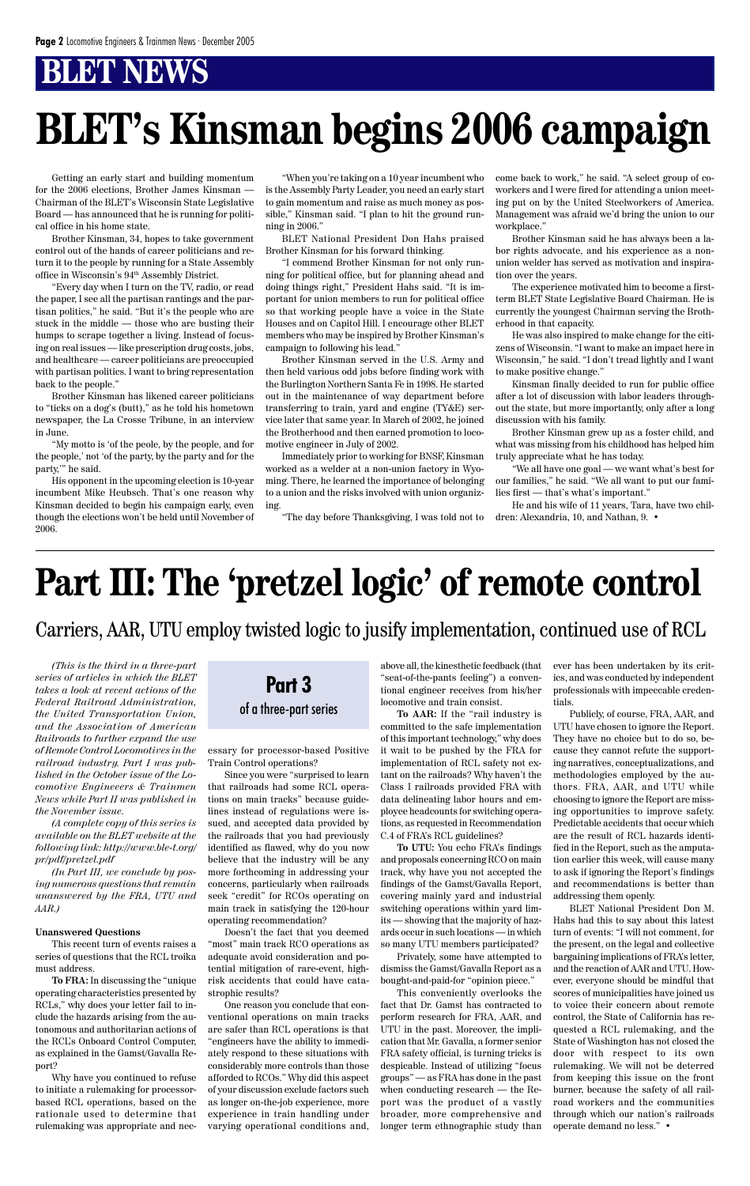Getting an early start and building momentum for the 2006 elections, Brother James Kinsman — Chairman of the BLET's Wisconsin State Legislative Board — has announced that he is running for political office in his home state.

Brother Kinsman, 34, hopes to take government control out of the hands of career politicians and return it to the people by running for a State Assembly office in Wisconsin's 94th Assembly District.

"Every day when I turn on the TV, radio, or read the paper, I see all the partisan rantings and the partisan politics," he said. "But it's the people who are stuck in the middle — those who are busting their humps to scrape together a living. Instead of focusing on real issues — like prescription drug costs, jobs, and healthcare — career politicians are preoccupied with partisan politics. I want to bring representation back to the people."

Brother Kinsman has likened career politicians to "ticks on a dog's (butt)," as he told his hometown newspaper, the La Crosse Tribune, in an interview in June.

"My motto is 'of the peole, by the people, and for the people,' not 'of the party, by the party and for the party,'" he said.

His opponent in the upcoming election is 10-year incumbent Mike Heubsch. That's one reason why Kinsman decided to begin his campaign early, even though the elections won't be held until November of 2006.

"When you're taking on a 10 year incumbent who is the Assembly Party Leader, you need an early start to gain momentum and raise as much money as possible," Kinsman said. "I plan to hit the ground running in 2006."

BLET National President Don Hahs praised Brother Kinsman for his forward thinking.

"I commend Brother Kinsman for not only running for political office, but for planning ahead and doing things right," President Hahs said. "It is important for union members to run for political office so that working people have a voice in the State Houses and on Capitol Hill. I encourage other BLET members who may be inspired by Brother Kinsman's campaign to following his lead."

Brother Kinsman served in the U.S. Army and then held various odd jobs before finding work with the Burlington Northern Santa Fe in 1998. He started out in the maintenance of way department before transferring to train, yard and engine (TY&E) service later that same year. In March of 2002, he joined the Brotherhood and then earned promotion to locomotive engineer in July of 2002.

Immediately prior to working for BNSF, Kinsman worked as a welder at a non-union factory in Wyoming. There, he learned the importance of belonging to a union and the risks involved with union organizing.

"The day before Thanksgiving, I was told not to

come back to work," he said. "A select group of coworkers and I were fired for attending a union meeting put on by the United Steelworkers of America. Management was afraid we'd bring the union to our workplace."

Brother Kinsman said he has always been a labor rights advocate, and his experience as a nonunion welder has served as motivation and inspiration over the years.

The experience motivated him to become a firstterm BLET State Legislative Board Chairman. He is currently the youngest Chairman serving the Brotherhood in that capacity.

He was also inspired to make change for the citizens of Wisconsin. "I want to make an impact here in Wisconsin," he said. "I don't tread lightly and I want to make positive change."

Kinsman finally decided to run for public office after a lot of discussion with labor leaders throughout the state, but more importantly, only after a long discussion with his family.

Brother Kinsman grew up as a foster child, and what was missing from his childhood has helped him truly appreciate what he has today.

"We all have one goal — we want what's best for our families," he said. "We all want to put our families first — that's what's important."

He and his wife of 11 years, Tara, have two children: Alexandria, 10, and Nathan, 9. •

# **BLET's Kinsman begins 2006 campaign**

# **Part III: The 'pretzel logic' of remote control**

Carriers, AAR, UTU employ twisted logic to jusify implementation, continued use of RCL



*(This is the third in a three-part series of articles in which the BLET takes a look at recent actions of the Federal Railroad Administration, the United Transportation Union, and the Association of American Railroads to further expand the use of Remote Control Locomotives in the railroad industry. Part I was published in the October issue of the Locomotive Engineeers & Trainmen News while Part II was published in the November issue.*

*(A complete copy of this series is available on the BLET website at the following link: http://www.ble-t.org/ pr/pdf/pretzel.pdf*

*(In Part III, we conclude by posing numerous questions that remain unanswered by the FRA, UTU and AAR.)*

#### **Unanswered Questions**

This recent turn of events raises a series of questions that the RCL troika must address.

**To FRA:** In discussing the "unique operating characteristics presented by RCLs," why does your letter fail to include the hazards arising from the autonomous and authoritarian actions of the RCL's Onboard Control Computer, as explained in the Gamst/Gavalla Report?

Why have you continued to refuse to initiate a rulemaking for processorbased RCL operations, based on the rationale used to determine that rulemaking was appropriate and necessary for processor-based Positive Train Control operations?

Since you were "surprised to learn that railroads had some RCL operations on main tracks" because guidelines instead of regulations were issued, and accepted data provided by the railroads that you had previously identified as flawed, why do you now believe that the industry will be any more forthcoming in addressing your concerns, particularly when railroads seek "credit" for RCOs operating on main track in satisfying the 120-hour operating recommendation?

Doesn't the fact that you deemed "most" main track RCO operations as adequate avoid consideration and potential mitigation of rare-event, highrisk accidents that could have catastrophic results?

One reason you conclude that conventional operations on main tracks are safer than RCL operations is that "engineers have the ability to immediately respond to these situations with considerably more controls than those afforded to RCOs." Why did this aspect of your discussion exclude factors such as longer on-the-job experience, more experience in train handling under varying operational conditions and, above all, the kinesthetic feedback (that "seat-of-the-pants feeling") a conventional engineer receives from his/her locomotive and train consist.

**To AAR:** If the "rail industry is committed to the safe implementation of this important technology," why does it wait to be pushed by the FRA for implementation of RCL safety not extant on the railroads? Why haven't the Class I railroads provided FRA with data delineating labor hours and employee headcounts for switching operations, as requested in Recommendation C.4 of FRA's RCL guidelines?

**To UTU:** You echo FRA's findings and proposals concerning RCO on main track, why have you not accepted the findings of the Gamst/Gavalla Report, covering mainly yard and industrial switching operations within yard limits — showing that the majority of hazards occur in such locations — in which so many UTU members participated?

Privately, some have attempted to dismiss the Gamst/Gavalla Report as a bought-and-paid-for "opinion piece."

This conveniently overlooks the fact that Dr. Gamst has contracted to perform research for FRA, AAR, and UTU in the past. Moreover, the implication that Mr. Gavalla, a former senior FRA safety official, is turning tricks is despicable. Instead of utilizing "focus groups" — as FRA has done in the past when conducting research — the Report was the product of a vastly broader, more comprehensive and longer term ethnographic study than ever has been undertaken by its critics, and was conducted by independent professionals with impeccable credentials.

Publicly, of course, FRA, AAR, and UTU have chosen to ignore the Report. They have no choice but to do so, because they cannot refute the supporting narratives, conceptualizations, and methodologies employed by the authors. FRA, AAR, and UTU while choosing to ignore the Report are missing opportunities to improve safety. Predictable accidents that occur which are the result of RCL hazards identified in the Report, such as the amputation earlier this week, will cause many to ask if ignoring the Report's findings and recommendations is better than addressing them openly. BLET National President Don M. Hahs had this to say about this latest turn of events: "I will not comment, for the present, on the legal and collective bargaining implications of FRA's letter, and the reaction of AAR and UTU. However, everyone should be mindful that scores of municipalities have joined us to voice their concern about remote control, the State of California has requested a RCL rulemaking, and the State of Washington has not closed the door with respect to its own rulemaking. We will not be deterred from keeping this issue on the front burner, because the safety of all railroad workers and the communities through which our nation's railroads operate demand no less." •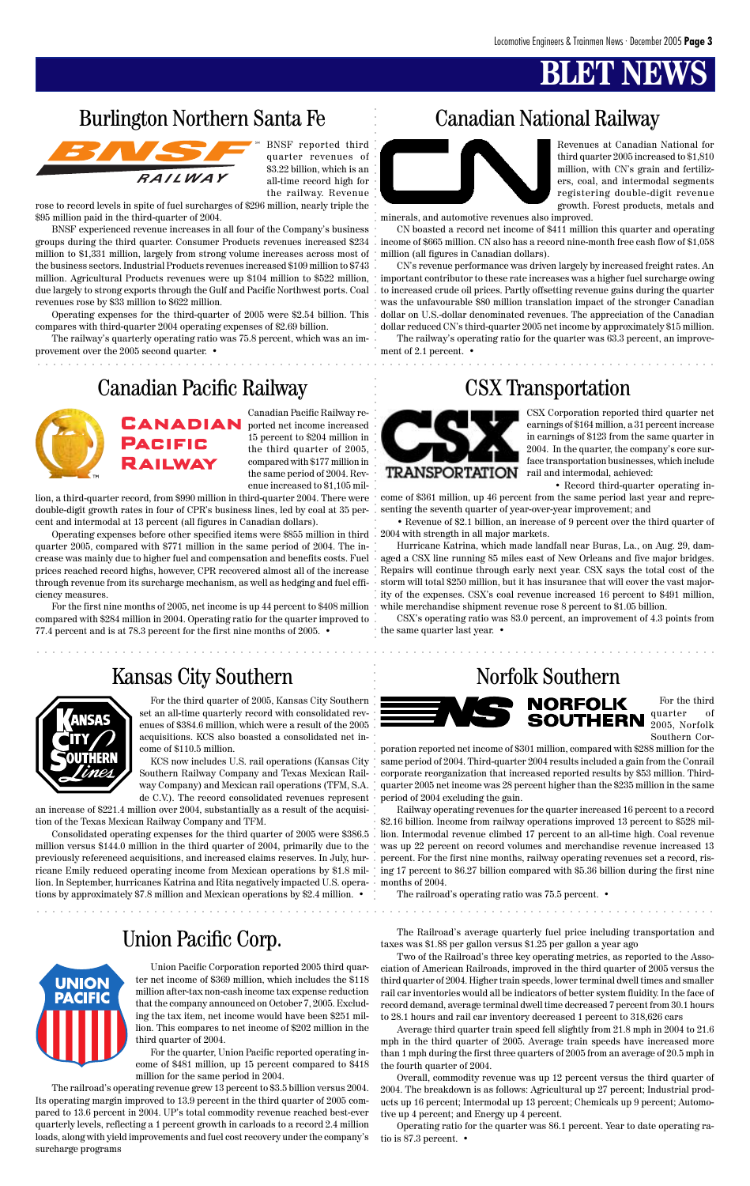## **BLET**

### Union Pacific Corp.



aaaaaaaaaaaaaaaaaaaaaaaaaaaaaaaaaaaaaaaaaaaaaaaaaaaaaaaaaaaaaaaaaaaaaaaa aaaaaaaaaaaaaaa

aaaaaaaaaaaaaaaaaaaaaaaaaaaaaaaaaaaaaaaaaaaaaaaaaaaaaaaaaaaaaaaaaaaaaaaaaaaaaaaaaaaaaaa

BNSF reported third quarter revenues of \$3.22 billion, which is an all-time record high for the railway. Revenue

Barlington Northern Santa Fe<br> **Aaziman Radio aa**<br>
Canadan Redic Raliway CSX Transportation<br> **BANADIAN BALIWAY CONSTRAN CONSTRAN RADIAN BANADIAN BANADIAN BANADIAN CONSTRAN RADIAN BANADIAN DESCRIPTIONS** BNSF experienced revenue increases in all four of the Company's business groups during the third quarter. Consumer Products revenues increased \$234 million to \$1,331 million, largely from strong volume increases across most of the business sectors. Industrial Products revenues increased \$109 million to \$743 million. Agricultural Products revenues were up \$104 million to \$522 million, due largely to strong exports through the Gulf and Pacific Northwest ports. Coal revenues rose by \$33 million to \$622 million.

rose to record levels in spite of fuel surcharges of \$296 million, nearly triple the \$95 million paid in the third-quarter of 2004.

Operating expenses for the third-quarter of 2005 were \$2.54 billion. This compares with third-quarter 2004 operating expenses of \$2.69 billion.

The railway's quarterly operating ratio was 75.8 percent, which was an improvement over the 2005 second quarter. •

### Canadian Pacific Railway CSX Transportation



Revenues at Canadian National for third quarter 2005 increased to \$1,810 million, with CN's grain and fertilizers, coal, and intermodal segments registering double-digit revenue growth. Forest products, metals and

### Burlington Northern Santa Fe Canadian National Railway



minerals, and automotive revenues also improved.

CN boasted a record net income of \$411 million this quarter and operating income of \$665 million. CN also has a record nine-month free cash flow of \$1,058 million (all figures in Canadian dollars).

CN's revenue performance was driven largely by increased freight rates. An important contributor to these rate increases was a higher fuel surcharge owing to increased crude oil prices. Partly offsetting revenue gains during the quarter was the unfavourable \$80 million translation impact of the stronger Canadian dollar on U.S.-dollar denominated revenues. The appreciation of the Canadian dollar reduced CN's third-quarter 2005 net income by approximately \$15 million.

The railway's operating ratio for the quarter was 63.3 percent, an improvement of 2.1 percent. •



Canadian Pacific Railway reported net income increased 15 percent to \$204 million in the third quarter of 2005, compared with \$177 million in the same period of 2004. Revenue increased to \$1,105 mil-

lion, a third-quarter record, from \$990 million in third-quarter 2004. There were double-digit growth rates in four of CPR's business lines, led by coal at 35 percent and intermodal at 13 percent (all figures in Canadian dollars).

Operating expenses before other specified items were \$855 million in third quarter 2005, compared with \$771 million in the same period of 2004. The increase was mainly due to higher fuel and compensation and benefits costs. Fuel prices reached record highs, however, CPR recovered almost all of the increase through revenue from its surcharge mechanism, as well as hedging and fuel efficiency measures.

For the first nine months of 2005, net income is up 44 percent to \$408 million compared with \$284 million in 2004. Operating ratio for the quarter improved to 77.4 percent and is at 78.3 percent for the first nine months of 2005. •

### Kansas City Southern Norfolk Southern



CSX Corporation reported third quarter net earnings of \$164 million, a 31 percent increase in earnings of \$123 from the same quarter in 2004. In the quarter, the company's core surface transportation businesses, which include rail and intermodal, achieved:

• Record third-quarter operating income of \$361 million, up 46 percent from the same period last year and repre-

senting the seventh quarter of year-over-year improvement; and

• Revenue of \$2.1 billion, an increase of 9 percent over the third quarter of 2004 with strength in all major markets.

Hurricane Katrina, which made landfall near Buras, La., on Aug. 29, damaged a CSX line running 85 miles east of New Orleans and five major bridges. Repairs will continue through early next year. CSX says the total cost of the storm will total \$250 million, but it has insurance that will cover the vast majority of the expenses. CSX's coal revenue increased 16 percent to \$491 million, while merchandise shipment revenue rose 8 percent to \$1.05 billion.

CSX's operating ratio was 83.0 percent, an improvement of 4.3 points from the same quarter last year. •

For the third quarter of 2005, Kansas City Southern set an all-time quarterly record with consolidated revenues of \$384.6 million, which were a result of the 2005 acquisitions. KCS also boasted a consolidated net income of \$110.5 million.

KCS now includes U.S. rail operations (Kansas City Southern Railway Company and Texas Mexican Railway Company) and Mexican rail operations (TFM, S.A. de C.V.). The record consolidated revenues represent

an increase of \$221.4 million over 2004, substantially as a result of the acquisition of the Texas Mexican Railway Company and TFM.

Consolidated operating expenses for the third quarter of 2005 were \$386.5 million versus \$144.0 million in the third quarter of 2004, primarily due to the previously referenced acquisitions, and increased claims reserves. In July, hur-percent. For the first nine months, railway operating revenues set a record, risricane Emily reduced operating income from Mexican operations by \$1.8 mil-ing 17 percent to \$6.27 billion compared with \$5.36 billion during the first nine lion. In September, hurricanes Katrina and Rita negatively impacted U.S. opera-months of 2004. tions by approximately \$7.8 million and Mexican operations by \$2.4 million. •





poration reported net income of \$301 million, compared with \$288 million for the same period of 2004. Third-quarter 2004 results included a gain from the Conrail corporate reorganization that increased reported results by \$53 million. Thirdquarter 2005 net income was 28 percent higher than the \$235 million in the same period of 2004 excluding the gain.

Railway operating revenues for the quarter increased 16 percent to a record \$2.16 billion. Income from railway operations improved 13 percent to \$528 million. Intermodal revenue climbed 17 percent to an all-time high. Coal revenue was up 22 percent on record volumes and merchandise revenue increased 13

Union Pacific Corporation reported 2005 third quarter net income of \$369 million, which includes the \$118 million after-tax non-cash income tax expense reduction that the company announced on October 7, 2005. Excluding the tax item, net income would have been \$251 million. This compares to net income of \$202 million in the third quarter of 2004.

For the quarter, Union Pacific reported operating income of \$481 million, up 15 percent compared to \$418 million for the same period in 2004.

The railroad's operating revenue grew 13 percent to \$3.5 billion versus 2004. Its operating margin improved to 13.9 percent in the third quarter of 2005 compared to 13.6 percent in 2004. UP's total commodity revenue reached best-ever quarterly levels, reflecting a 1 percent growth in carloads to a record 2.4 million loads, along with yield improvements and fuel cost recovery under the company's surcharge programs

The railroad's operating ratio was 75.5 percent. •

The Railroad's average quarterly fuel price including transportation and taxes was \$1.88 per gallon versus \$1.25 per gallon a year ago

Two of the Railroad's three key operating metrics, as reported to the Association of American Railroads, improved in the third quarter of 2005 versus the third quarter of 2004. Higher train speeds, lower terminal dwell times and smaller rail car inventories would all be indicators of better system fluidity. In the face of record demand, average terminal dwell time decreased 7 percent from 30.1 hours to 28.1 hours and rail car inventory decreased 1 percent to 318,626 cars

Average third quarter train speed fell slightly from 21.8 mph in 2004 to 21.6 mph in the third quarter of 2005. Average train speeds have increased more than 1 mph during the first three quarters of 2005 from an average of 20.5 mph in the fourth quarter of 2004.

Overall, commodity revenue was up 12 percent versus the third quarter of 2004. The breakdown is as follows: Agricultural up 27 percent; Industrial products up 16 percent; Intermodal up 13 percent; Chemicals up 9 percent; Automotive up 4 percent; and Energy up 4 percent.

Operating ratio for the quarter was 86.1 percent. Year to date operating ratio is 87.3 percent. •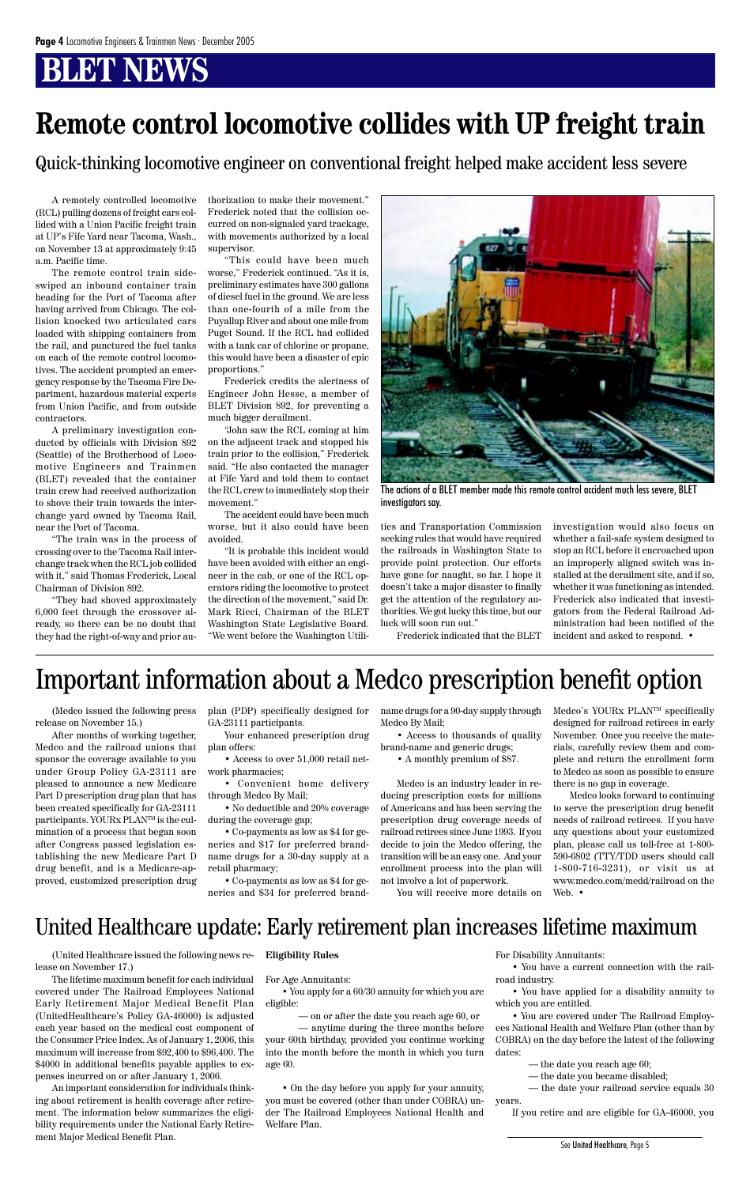# **BT NEWS**

# **Remote control locomotive collides with UP freight train**

A remotely controlled locomotive (RCL) pulling dozens of freight cars collided with a Union Pacific freight train at UP's Fife Yard near Tacoma, Wash., on November 13 at approximately 9:45 a.m. Pacific time.

The remote control train sideswiped an inbound container train heading for the Port of Tacoma after having arrived from Chicago. The collision knocked two articulated cars loaded with shipping containers from the rail, and punctured the fuel tanks on each of the remote control locomotives. The accident prompted an emergency response by the Tacoma Fire Department, hazardous material experts from Union Pacific, and from outside contractors.

A preliminary investigation conducted by officials with Division 892 (Seattle) of the Brotherhood of Locomotive Engineers and Trainmen (BLET) revealed that the container train crew had received authorization to shove their train towards the interchange yard owned by Tacoma Rail, near the Port of Tacoma.

"The train was in the process of crossing over to the Tacoma Rail interchange track when the RCL job collided with it," said Thomas Frederick, Local Chairman of Division 892.

"They had shoved approximately 6,000 feet through the crossover already, so there can be no doubt that they had the right-of-way and prior authorization to make their movement." Frederick noted that the collision occurred on non-signaled yard trackage, with movements authorized by a local supervisor.

"This could have been much worse," Frederick continued. "As it is, preliminary estimates have 300 gallons of diesel fuel in the ground. We are less than one-fourth of a mile from the Puyallup River and about one mile from Puget Sound. If the RCL had collided with a tank car of chlorine or propane, this would have been a disaster of epic proportions."

Frederick credits the alertness of Engineer John Hesse, a member of BLET Division 892, for preventing a much bigger derailment.

"John saw the RCL coming at him on the adjacent track and stopped his train prior to the collision," Frederick said. "He also contacted the manager at Fife Yard and told them to contact the RCL crew to immediately stop their movement."

The accident could have been much worse, but it also could have been avoided.

"It is probable this incident would have been avoided with either an engineer in the cab, or one of the RCL operators riding the locomotive to protect the direction of the movement," said Dr. Mark Ricci, Chairman of the BLET Washington State Legislative Board. "We went before the Washington Utilities and Transportation Commission seeking rules that would have required the railroads in Washington State to provide point protection. Our efforts have gone for naught, so far. I hope it doesn't take a major disaster to finally get the attention of the regulatory authorities. We got lucky this time, but our luck will soon run out."

Frederick indicated that the BLET

investigation would also focus on whether a fail-safe system designed to stop an RCL before it encroached upon an improperly aligned switch was installed at the derailment site, and if so, whether it was functioning as intended. Frederick also indicated that investigators from the Federal Railroad Administration had been notified of the incident and asked to respond. •



The actions of a BLET member made this remote control accident much less severe, BLET investigators say.

Medco's YOURx PLAN<sup>TM</sup> specifically designed for railroad retirees in early November. Once you receive the materials, carefully review them and complete and return the enrollment form to Medco as soon as possible to ensure there is no gap in coverage.

Quick-thinking locomotive engineer on conventional freight helped make accident less severe

(United Healthcare issued the following news release on November 17.)

The lifetime maximum benefit for each individual covered under The Railroad Employees National Early Retirement Major Medical Benefit Plan (UnitedHealthcare's Policy GA-46000) is adjusted each year based on the medical cost component of the Consumer Price Index. As of January 1, 2006, this maximum will increase from \$92,400 to \$96,400. The \$4000 in additional benefits payable applies to expenses incurred on or after January 1, 2006.

An important consideration for individuals thinking about retirement is health coverage after retirement. The information below summarizes the eligibility requirements under the National Early Retirement Major Medical Benefit Plan.

**Eligibility Rules**

For Age Annuitants:

• You apply for a 60/30 annuity for which you are eligible:

— on or after the date you reach age 60, or

— anytime during the three months before your 60th birthday, provided you continue working into the month before the month in which you turn age 60.

• On the day before you apply for your annuity, you must be covered (other than under COBRA) under The Railroad Employees National Health and Welfare Plan.

For Disability Annuitants:

• You have a current connection with the railroad industry.

• You have applied for a disability annuity to which you are entitled.

• You are covered under The Railroad Employees National Health and Welfare Plan (other than by COBRA) on the day before the latest of the following dates:

- the date you reach age 60;
- the date you became disabled;
- the date your railroad service equals 30

years.

If you retire and are eligible for GA-46000, you

(Medco issued the following press release on November 15.)

After months of working together, Medco and the railroad unions that sponsor the coverage available to you under Group Policy GA-23111 are pleased to announce a new Medicare Part D prescription drug plan that has been created specifically for GA-23111 participants. YOURx PLANTM is the culmination of a process that began soon after Congress passed legislation establishing the new Medicare Part D drug benefit, and is a Medicare-ap-

proved, customized prescription drug

plan (PDP) specifically designed for GA-23111 participants.

Your enhanced prescription drug plan offers:

• Access to over 51,000 retail network pharmacies;

• Convenient home delivery through Medco By Mail;

• No deductible and 20% coverage during the coverage gap;

• Co-payments as low as \$4 for generics and \$17 for preferred brandname drugs for a 30-day supply at a retail pharmacy;

• Co-payments as low as \$4 for ge-not involve a lot of paperwork. nerics and \$34 for preferred brand-

name drugs for a 90-day supply through Medco By Mail;

• Access to thousands of quality brand-name and generic drugs;

• A monthly premium of \$87.

Medco is an industry leader in reducing prescription costs for millions of Americans and has been serving the prescription drug coverage needs of railroad retirees since June 1993. If you decide to join the Medco offering, the transition will be an easy one. And your enrollment process into the plan will

You will receive more details on Web. •

Medco looks forward to continuing to serve the prescription drug benefit needs of railroad retirees. If you have any questions about your customized plan, please call us toll-free at 1-800- 590-6802 (TTY/TDD users should call 1-800-716-3231), or visit us at www.medco.com/medd/railroad on the

## Important information about a Medco prescription benefit option

### United Healthcare update: Early retirement plan increases lifetime maximum

See United Healthcare, Page 5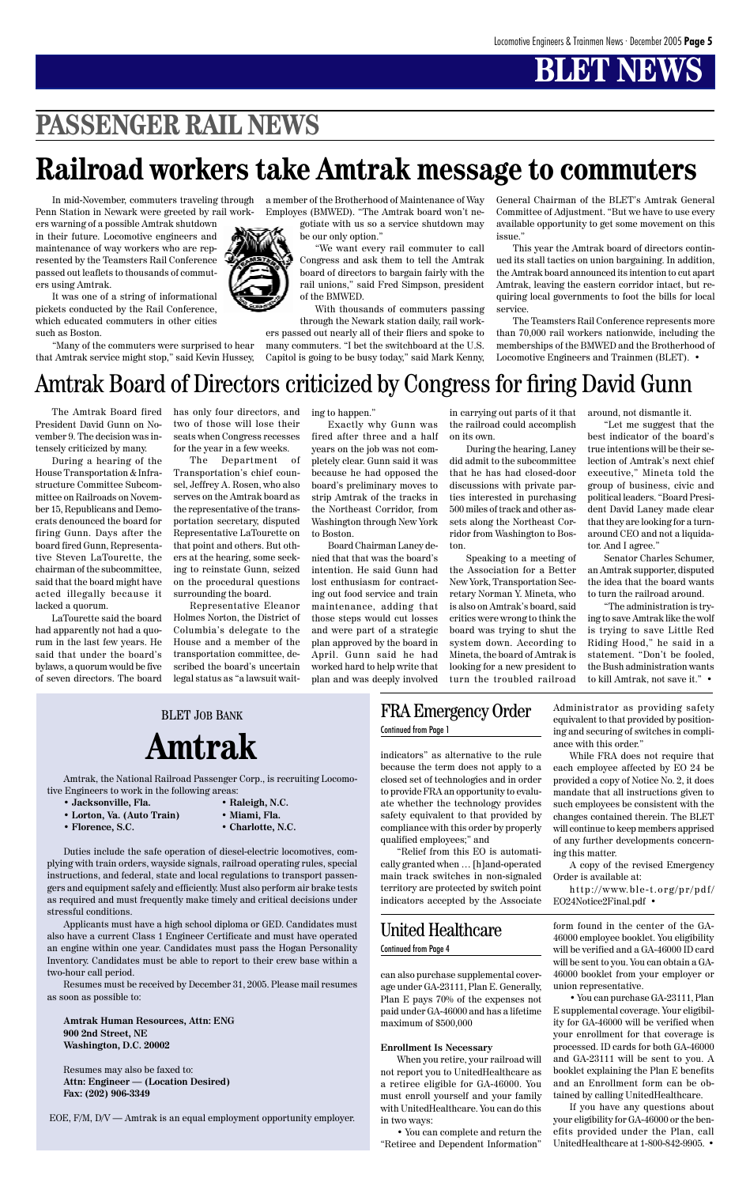Amtrak, the National Railroad Passenger Corp., is recruiting Locomotive Engineers to work in the following areas:

- **Jacksonville, Fla. Raleigh, N.C.**
- **Lorton, Va. (Auto Train) Miami, Fla.**
	-
- **Florence, S.C. Charlotte, N.C.**

Duties include the safe operation of diesel-electric locomotives, complying with train orders, wayside signals, railroad operating rules, special instructions, and federal, state and local regulations to transport passengers and equipment safely and efficiently. Must also perform air brake tests as required and must frequently make timely and critical decisions under stressful conditions. Applicants must have a high school diploma or GED. Candidates must also have a current Class 1 Engineer Certificate and must have operated an engine within one year. Candidates must pass the Hogan Personality Inventory. Candidates must be able to report to their crew base within a two-hour call period.



Resumes must be received by December 31, 2005. Please mail resumes as soon as possible to:

**Amtrak Human Resources, Attn: ENG 900 2nd Street, NE Washington, D.C. 20002**

Resumes may also be faxed to: **Attn: Engineer — (Location Desired) Fax: (202) 906-3349**

EOE, F/M, D/V — Amtrak is an equal employment opportunity employer.

# **PASSENGER RAIL NEWS**

In mid-November, commuters traveling through Penn Station in Newark were greeted by rail work-

ers warning of a possible Amtrak shutdown in their future. Locomotive engineers and maintenance of way workers who are represented by the Teamsters Rail Conference passed out leaflets to thousands of commuters using Amtrak.

It was one of a string of informational pickets conducted by the Rail Conference, which educated commuters in other cities such as Boston.

"Many of the commuters were surprised to hear that Amtrak service might stop," said Kevin Hussey,

a member of the Brotherhood of Maintenance of Way Employes (BMWED). "The Amtrak board won't negotiate with us so a service shutdown may

be our only option."

"We want every rail commuter to call Congress and ask them to tell the Amtrak board of directors to bargain fairly with the rail unions," said Fred Simpson, president of the BMWED.

With thousands of commuters passing through the Newark station daily, rail workers passed out nearly all of their fliers and spoke to many commuters. "I bet the switchboard at the U.S. Capitol is going to be busy today," said Mark Kenny,

General Chairman of the BLET's Amtrak General Committee of Adjustment. "But we have to use every available opportunity to get some movement on this issue."

This year the Amtrak board of directors continued its stall tactics on union bargaining. In addition, the Amtrak board announced its intention to cut apart Amtrak, leaving the eastern corridor intact, but requiring local governments to foot the bills for local service.

The Teamsters Rail Conference represents more than 70,000 rail workers nationwide, including the memberships of the BMWED and the Brotherhood of Locomotive Engineers and Trainmen (BLET). •

## **Railroad workers take Amtrak message to commuters**

The Amtrak Board fired President David Gunn on November 9. The decision was intensely criticized by many.

During a hearing of the House Transportation & Infrastructure Committee Subcommittee on Railroads on November 15, Republicans and Democrats denounced the board for firing Gunn. Days after the board fired Gunn, Representative Steven LaTourette, the chairman of the subcommittee, said that the board might have acted illegally because it lacked a quorum.

LaTourette said the board had apparently not had a quorum in the last few years. He said that under the board's bylaws, a quorum would be five of seven directors. The board has only four directors, and two of those will lose their seats when Congress recesses for the year in a few weeks.

The Department of Transportation's chief counsel, Jeffrey A. Rosen, who also serves on the Amtrak board as the representative of the transportation secretary, disputed Representative LaTourette on that point and others. But others at the hearing, some seeking to reinstate Gunn, seized on the procedural questions surrounding the board.

Representative Eleanor Holmes Norton, the District of Columbia's delegate to the House and a member of the transportation committee, described the board's uncertain legal status as "a lawsuit waiting to happen."

Exactly why Gunn was fired after three and a half years on the job was not completely clear. Gunn said it was because he had opposed the board's preliminary moves to strip Amtrak of the tracks in the Northeast Corridor, from Washington through New York to Boston.

Board Chairman Laney denied that that was the board's intention. He said Gunn had lost enthusiasm for contracting out food service and train maintenance, adding that those steps would cut losses and were part of a strategic plan approved by the board in April. Gunn said he had worked hard to help write that plan and was deeply involved

in carrying out parts of it that the railroad could accomplish on its own.

During the hearing, Laney did admit to the subcommittee that he has had closed-door discussions with private parties interested in purchasing 500 miles of track and other assets along the Northeast Corridor from Washington to Boston.

Speaking to a meeting of the Association for a Better New York, Transportation Secretary Norman Y. Mineta, who is also on Amtrak's board, said critics were wrong to think the board was trying to shut the system down. According to Mineta, the board of Amtrak is looking for a new president to turn the troubled railroad

around, not dismantle it.

"Let me suggest that the best indicator of the board's true intentions will be their selection of Amtrak's next chief executive," Mineta told the group of business, civic and political leaders. "Board President David Laney made clear that they are looking for a turnaround CEO and not a liquidator. And I agree."

Senator Charles Schumer, an Amtrak supporter, disputed the idea that the board wants to turn the railroad around.

"The administration is trying to save Amtrak like the wolf is trying to save Little Red Riding Hood," he said in a statement. "Don't be fooled, the Bush administration wants to kill Amtrak, not save it." •

### Amtrak Board of Directors criticized by Congress for firing David Gunn

BLET JOB BANK **Amtrak**

> can also purchase supplemental coverage under GA-23111, Plan E. Generally, Plan E pays 70% of the expenses not paid under GA-46000 and has a lifetime maximum of \$500,000

#### **Enrollment Is Necessary**

When you retire, your railroad will not report you to UnitedHealthcare as a retiree eligible for GA-46000. You must enroll yourself and your family with UnitedHealthcare. You can do this in two ways:

• You can complete and return the "Retiree and Dependent Information"

form found in the center of the GA-46000 employee booklet. You eligibility will be verified and a GA-46000 ID card will be sent to you. You can obtain a GA-46000 booklet from your employer or union representative.

• You can purchase GA-23111, Plan E supplemental coverage. Your eligibility for GA-46000 will be verified when your enrollment for that coverage is processed. ID cards for both GA-46000 and GA-23111 will be sent to you. A booklet explaining the Plan E benefits and an Enrollment form can be obtained by calling UnitedHealthcare.

If you have any questions about your eligibility for GA-46000 or the benefits provided under the Plan, call UnitedHealthcare at 1-800-842-9905. •

### United Healthcare

#### Continued from Page 4

indicators" as alternative to the rule because the term does not apply to a closed set of technologies and in order to provide FRA an opportunity to evaluate whether the technology provides safety equivalent to that provided by compliance with this order by properly qualified employees;" and

"Relief from this EO is automatically granted when … [h]and-operated main track switches in non-signaled territory are protected by switch point indicators accepted by the Associate

Administrator as providing safety equivalent to that provided by positioning and securing of switches in compliance with this order."

While FRA does not require that each employee affected by EO 24 be provided a copy of Notice No. 2, it does mandate that all instructions given to such employees be consistent with the changes contained therein. The BLET will continue to keep members apprised of any further developments concerning this matter.

A copy of the revised Emergency

Order is available at:

http://www.ble-t.org/pr/pdf/ EO24Notice2Final.pdf •

FRA Emergency Order Continued from Page 1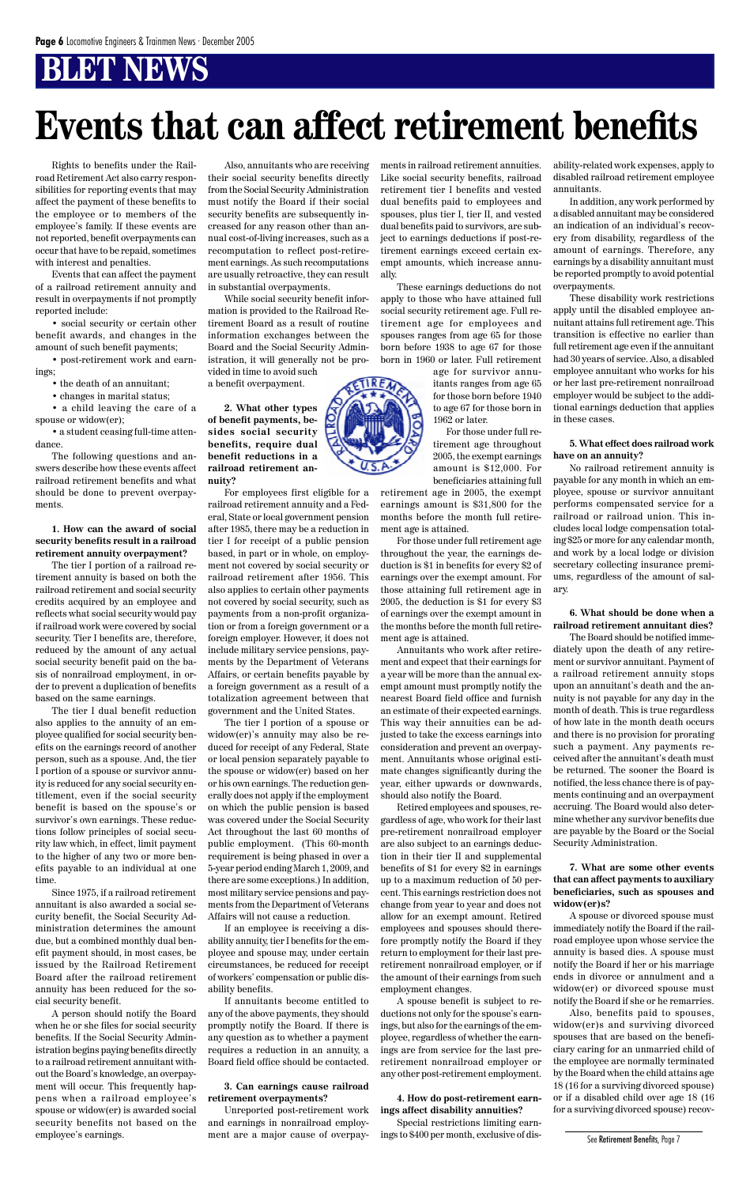Rights to benefits under the Railroad Retirement Act also carry responsibilities for reporting events that may affect the payment of these benefits to the employee or to members of the employee's family. If these events are not reported, benefit overpayments can occur that have to be repaid, sometimes with interest and penalties.

Events that can affect the payment of a railroad retirement annuity and result in overpayments if not promptly reported include:

• social security or certain other benefit awards, and changes in the amount of such benefit payments;

• post-retirement work and earnings;

- the death of an annuitant;
- changes in marital status;
- a child leaving the care of a

spouse or widow(er); • a student ceasing full-time attendance.

The following questions and answers describe how these events affect railroad retirement benefits and what should be done to prevent overpayments.

**1. How can the award of social security benefits result in a railroad retirement annuity overpayment?**

The tier I portion of a railroad retirement annuity is based on both the railroad retirement and social security credits acquired by an employee and reflects what social security would pay if railroad work were covered by social security. Tier I benefits are, therefore, reduced by the amount of any actual social security benefit paid on the basis of nonrailroad employment, in order to prevent a duplication of benefits based on the same earnings.

The tier I dual benefit reduction also applies to the annuity of an employee qualified for social security benefits on the earnings record of another person, such as a spouse. And, the tier I portion of a spouse or survivor annuity is reduced for any social security entitlement, even if the social security benefit is based on the spouse's or survivor's own earnings. These reductions follow principles of social security law which, in effect, limit payment to the higher of any two or more benefits payable to an individual at one

time.

Since 1975, if a railroad retirement annuitant is also awarded a social security benefit, the Social Security Administration determines the amount due, but a combined monthly dual benefit payment should, in most cases, be issued by the Railroad Retirement Board after the railroad retirement annuity has been reduced for the social security benefit.

A person should notify the Board when he or she files for social security benefits. If the Social Security Administration begins paying benefits directly to a railroad retirement annuitant without the Board's knowledge, an overpayment will occur. This frequently happens when a railroad employee's spouse or widow(er) is awarded social security benefits not based on the employee's earnings.

Also, annuitants who are receiving their social security benefits directly from the Social Security Administration must notify the Board if their social security benefits are subsequently increased for any reason other than annual cost-of-living increases, such as a recomputation to reflect post-retirement earnings. As such recomputations are usually retroactive, they can result in substantial overpayments.

While social security benefit information is provided to the Railroad Retirement Board as a result of routine information exchanges between the Board and the Social Security Administration, it will generally not be provided in time to avoid such

a benefit overpayment.

**2. What other types of benefit payments, besides social security benefits, require dual benefit reductions in a railroad retirement annuity?**

For employees first eligible for a railroad retirement annuity and a Federal, State or local government pension after 1985, there may be a reduction in tier I for receipt of a public pension based, in part or in whole, on employment not covered by social security or railroad retirement after 1956. This also applies to certain other payments not covered by social security, such as payments from a non-profit organization or from a foreign government or a foreign employer. However, it does not include military service pensions, payments by the Department of Veterans Affairs, or certain benefits payable by a foreign government as a result of a totalization agreement between that government and the United States.

The tier I portion of a spouse or widow(er)'s annuity may also be reduced for receipt of any Federal, State or local pension separately payable to the spouse or widow(er) based on her or his own earnings. The reduction generally does not apply if the employment on which the public pension is based was covered under the Social Security Act throughout the last 60 months of public employment. (This 60-month requirement is being phased in over a 5-year period ending March 1, 2009, and there are some exceptions.) In addition, most military service pensions and payments from the Department of Veterans Affairs will not cause a reduction.

If an employee is receiving a disability annuity, tier I benefits for the employee and spouse may, under certain circumstances, be reduced for receipt of workers' compensation or public disability benefits.

If annuitants become entitled to any of the above payments, they should promptly notify the Board. If there is any question as to whether a payment requires a reduction in an annuity, a Board field office should be contacted.

#### **3. Can earnings cause railroad retirement overpayments?**

Unreported post-retirement work and earnings in nonrailroad employment are a major cause of overpayments in railroad retirement annuities. Like social security benefits, railroad retirement tier I benefits and vested dual benefits paid to employees and spouses, plus tier I, tier II, and vested dual benefits paid to survivors, are subject to earnings deductions if post-retirement earnings exceed certain exempt amounts, which increase annually.

These earnings deductions do not apply to those who have attained full social security retirement age. Full retirement age for employees and spouses ranges from age 65 for those born before 1938 to age 67 for those born in 1960 or later. Full retirement

> age for survivor annuitants ranges from age 65 for those born before 1940 to age 67 for those born in 1962 or later.

> For those under full retirement age throughout 2005, the exempt earnings amount is \$12,000. For beneficiaries attaining full

retirement age in 2005, the exempt earnings amount is \$31,800 for the months before the month full retirement age is attained.

For those under full retirement age throughout the year, the earnings deduction is \$1 in benefits for every \$2 of earnings over the exempt amount. For those attaining full retirement age in 2005, the deduction is \$1 for every \$3 of earnings over the exempt amount in the months before the month full retirement age is attained.

Annuitants who work after retirement and expect that their earnings for a year will be more than the annual exempt amount must promptly notify the nearest Board field office and furnish an estimate of their expected earnings. This way their annuities can be adjusted to take the excess earnings into consideration and prevent an overpayment. Annuitants whose original estimate changes significantly during the year, either upwards or downwards, should also notify the Board.

Retired employees and spouses, regardless of age, who work for their last pre-retirement nonrailroad employer are also subject to an earnings deduction in their tier II and supplemental benefits of \$1 for every \$2 in earnings up to a maximum reduction of 50 percent. This earnings restriction does not change from year to year and does not allow for an exempt amount. Retired employees and spouses should therefore promptly notify the Board if they return to employment for their last preretirement nonrailroad employer, or if the amount of their earnings from such employment changes. A spouse benefit is subject to reductions not only for the spouse's earnings, but also for the earnings of the employee, regardless of whether the earnings are from service for the last preretirement nonrailroad employer or any other post-retirement employment.

#### **4. How do post-retirement earnings affect disability annuities?**

Special restrictions limiting earnings to \$400 per month, exclusive of disability-related work expenses, apply to disabled railroad retirement employee annuitants.

In addition, any work performed by a disabled annuitant may be considered an indication of an individual's recovery from disability, regardless of the amount of earnings. Therefore, any earnings by a disability annuitant must be reported promptly to avoid potential overpayments.

These disability work restrictions apply until the disabled employee annuitant attains full retirement age. This transition is effective no earlier than full retirement age even if the annuitant had 30 years of service. Also, a disabled employee annuitant who works for his or her last pre-retirement nonrailroad employer would be subject to the additional earnings deduction that applies in these cases.

**5. What effect does railroad work have on an annuity?**

No railroad retirement annuity is payable for any month in which an employee, spouse or survivor annuitant performs compensated service for a railroad or railroad union. This includes local lodge compensation totaling \$25 or more for any calendar month, and work by a local lodge or division secretary collecting insurance premiums, regardless of the amount of salary.

#### **6. What should be done when a railroad retirement annuitant dies?**

The Board should be notified immediately upon the death of any retirement or survivor annuitant. Payment of a railroad retirement annuity stops upon an annuitant's death and the annuity is not payable for any day in the month of death. This is true regardless of how late in the month death occurs and there is no provision for prorating such a payment. Any payments received after the annuitant's death must be returned. The sooner the Board is notified, the less chance there is of payments continuing and an overpayment accruing. The Board would also determine whether any survivor benefits due are payable by the Board or the Social Security Administration.

**7. What are some other events**



**that can affect payments to auxiliary beneficiaries, such as spouses and widow(er)s?**

A spouse or divorced spouse must immediately notify the Board if the railroad employee upon whose service the annuity is based dies. A spouse must notify the Board if her or his marriage ends in divorce or annulment and a widow(er) or divorced spouse must notify the Board if she or he remarries.

Also, benefits paid to spouses, widow(er)s and surviving divorced spouses that are based on the beneficiary caring for an unmarried child of the employee are normally terminated by the Board when the child attains age 18 (16 for a surviving divorced spouse) or if a disabled child over age 18 (16 for a surviving divorced spouse) recov-

# **Events that can affect retirement benefits**

See Retirement Benefits, Page 7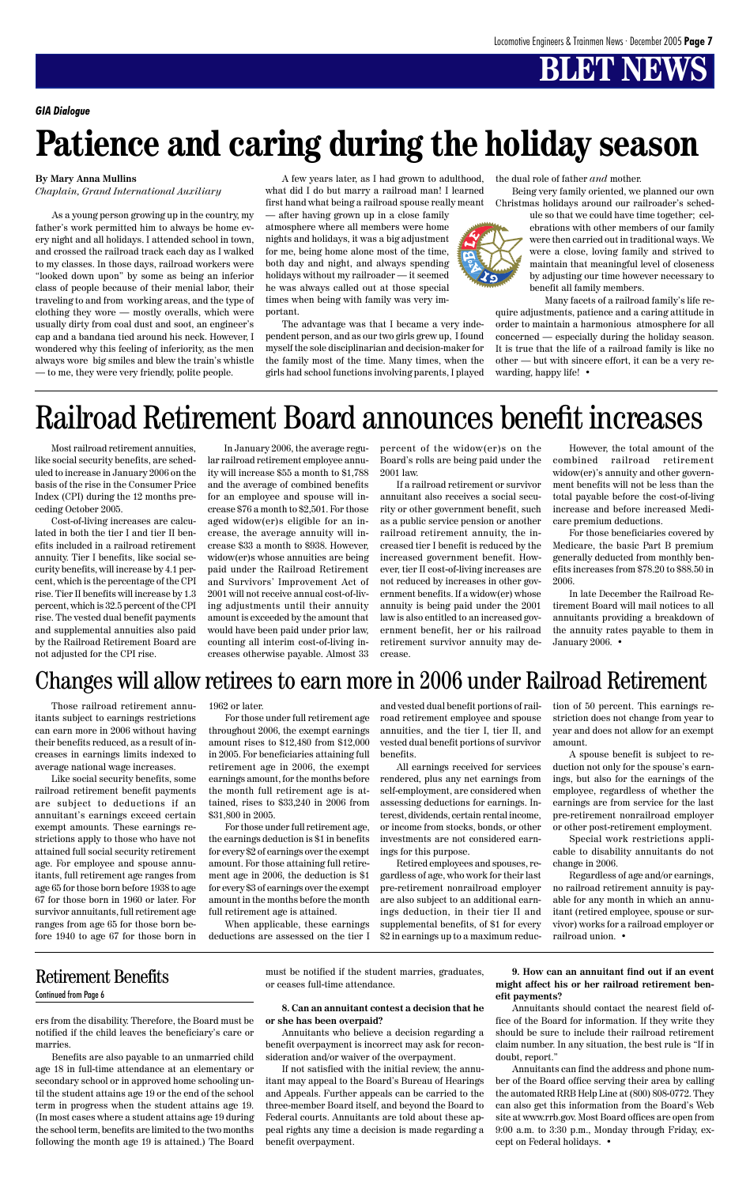ers from the disability. Therefore, the Board must be notified if the child leaves the beneficiary's care or marries.

Benefits are also payable to an unmarried child age 18 in full-time attendance at an elementary or secondary school or in approved home schooling until the student attains age 19 or the end of the school term in progress when the student attains age 19. (In most cases where a student attains age 19 during the school term, benefits are limited to the two months following the month age 19 is attained.) The Board must be notified if the student marries, graduates, or ceases full-time attendance.

#### **8. Can an annuitant contest a decision that he or she has been overpaid?**

Annuitants who believe a decision regarding a benefit overpayment is incorrect may ask for reconsideration and/or waiver of the overpayment.

If not satisfied with the initial review, the annuitant may appeal to the Board's Bureau of Hearings and Appeals. Further appeals can be carried to the three-member Board itself, and beyond the Board to Federal courts. Annuitants are told about these appeal rights any time a decision is made regarding a benefit overpayment.

**9. How can an annuitant find out if an event might affect his or her railroad retirement benefit payments?**

Annuitants should contact the nearest field office of the Board for information. If they write they should be sure to include their railroad retirement claim number. In any situation, the best rule is "If in doubt, report."

Annuitants can find the address and phone number of the Board office serving their area by calling the automated RRB Help Line at (800) 808-0772. They can also get this information from the Board's Web site at www.rrb.gov. Most Board offices are open from 9:00 a.m. to 3:30 p.m., Monday through Friday, except on Federal holidays. •

### Retirement Benefits

Continued from Page 6

*GIA Dialogue*

# **Patience and caring during the holiday season**

Most railroad retirement annuities, like social security benefits, are scheduled to increase in January 2006 on the basis of the rise in the Consumer Price Index (CPI) during the 12 months preceding October 2005.

Cost-of-living increases are calculated in both the tier I and tier II benefits included in a railroad retirement annuity. Tier I benefits, like social security benefits, will increase by 4.1 percent, which is the percentage of the CPI rise. Tier II benefits will increase by 1.3 percent, which is 32.5 percent of the CPI rise. The vested dual benefit payments and supplemental annuities also paid by the Railroad Retirement Board are not adjusted for the CPI rise.

In late December the Railroad Retirement Board will mail notices to all annuitants providing a breakdown of the annuity rates payable to them in January 2006. •

In January 2006, the average regular railroad retirement employee annuity will increase \$55 a month to \$1,788 and the average of combined benefits for an employee and spouse will increase \$76 a month to \$2,501. For those aged widow(er)s eligible for an increase, the average annuity will increase \$33 a month to \$938. However, widow(er)s whose annuities are being paid under the Railroad Retirement and Survivors' Improvement Act of 2001 will not receive annual cost-of-living adjustments until their annuity amount is exceeded by the amount that would have been paid under prior law, counting all interim cost-of-living increases otherwise payable. Almost 33

Those railroad retirement annuitants subject to earnings restrictions can earn more in 2006 without having their benefits reduced, as a result of increases in earnings limits indexed to average national wage increases.

Like social security benefits, some railroad retirement benefit payments are subject to deductions if an annuitant's earnings exceed certain exempt amounts. These earnings restrictions apply to those who have not attained full social security retirement age. For employee and spouse annuitants, full retirement age ranges from age 65 for those born before 1938 to age 67 for those born in 1960 or later. For survivor annuitants, full retirement age ranges from age 65 for those born before 1940 to age 67 for those born in

#### 1962 or later.

For those under full retirement age throughout 2006, the exempt earnings amount rises to \$12,480 from \$12,000 in 2005. For beneficiaries attaining full retirement age in 2006, the exempt earnings amount, for the months before the month full retirement age is attained, rises to \$33,240 in 2006 from \$31,800 in 2005.

For those under full retirement age, the earnings deduction is \$1 in benefits for every \$2 of earnings over the exempt amount. For those attaining full retirement age in 2006, the deduction is \$1 for every \$3 of earnings over the exempt amount in the months before the month full retirement age is attained.

When applicable, these earnings deductions are assessed on the tier I

percent of the widow(er)s on the Board's rolls are being paid under the 2001 law.

If a railroad retirement or survivor annuitant also receives a social security or other government benefit, such as a public service pension or another railroad retirement annuity, the increased tier I benefit is reduced by the increased government benefit. However, tier II cost-of-living increases are not reduced by increases in other government benefits. If a widow(er) whose annuity is being paid under the 2001 law is also entitled to an increased government benefit, her or his railroad retirement survivor annuity may decrease.

However, the total amount of the combined railroad retirement widow(er)'s annuity and other government benefits will not be less than the total payable before the cost-of-living increase and before increased Medicare premium deductions.

For those beneficiaries covered by Medicare, the basic Part B premium generally deducted from monthly benefits increases from \$78.20 to \$88.50 in 2006.

and vested dual benefit portions of railroad retirement employee and spouse annuities, and the tier I, tier II, and vested dual benefit portions of survivor benefits.

All earnings received for services rendered, plus any net earnings from self-employment, are considered when assessing deductions for earnings. Interest, dividends, certain rental income, or income from stocks, bonds, or other investments are not considered earnings for this purpose.

Retired employees and spouses, re-

gardless of age, who work for their last pre-retirement nonrailroad employer are also subject to an additional earnings deduction, in their tier II and supplemental benefits, of \$1 for every \$2 in earnings up to a maximum reduc-

tion of 50 percent. This earnings restriction does not change from year to year and does not allow for an exempt amount.

A spouse benefit is subject to reduction not only for the spouse's earnings, but also for the earnings of the employee, regardless of whether the earnings are from service for the last pre-retirement nonrailroad employer or other post-retirement employment.

Special work restrictions applicable to disability annuitants do not change in 2006.



Regardless of age and/or earnings, no railroad retirement annuity is payable for any month in which an annuitant (retired employee, spouse or survivor) works for a railroad employer or railroad union. •

### Changes will allow retirees to earn more in 2006 under Railroad Retirement

# Railroad Retirement Board announces benefit increases

#### **By Mary Anna Mullins**

*Chaplain, Grand International Auxiliary*

As a young person growing up in the country, my father's work permitted him to always be home every night and all holidays. I attended school in town, and crossed the railroad track each day as I walked to my classes. In those days, railroad workers were "looked down upon" by some as being an inferior class of people because of their menial labor, their traveling to and from working areas, and the type of clothing they wore — mostly overalls, which were usually dirty from coal dust and soot, an engineer's cap and a bandana tied around his neck. However, I wondered why this feeling of inferiority, as the men always wore big smiles and blew the train's whistle — to me, they were very friendly, polite people.

A few years later, as I had grown to adulthood, what did I do but marry a railroad man! I learned first hand what being a railroad spouse really meant

— after having grown up in a close family atmosphere where all members were home nights and holidays, it was a big adjustment for me, being home alone most of the time, both day and night, and always spending holidays without my railroader — it seemed he was always called out at those special times when being with family was very important.

The advantage was that I became a very independent person, and as our two girls grew up, I found myself the sole disciplinarian and decision-maker for the family most of the time. Many times, when the girls had school functions involving parents, I played the dual role of father *and* mother.

Being very family oriented, we planned our own Christmas holidays around our railroader's sched-

> ule so that we could have time together; celebrations with other members of our family were then carried out in traditional ways. We were a close, loving family and strived to maintain that meaningful level of closeness by adjusting our time however necessary to benefit all family members.

Many facets of a railroad family's life require adjustments, patience and a caring attitude in order to maintain a harmonious atmosphere for all concerned — especially during the holiday season. It is true that the life of a railroad family is like no other — but with sincere effort, it can be a very rewarding, happy life! •